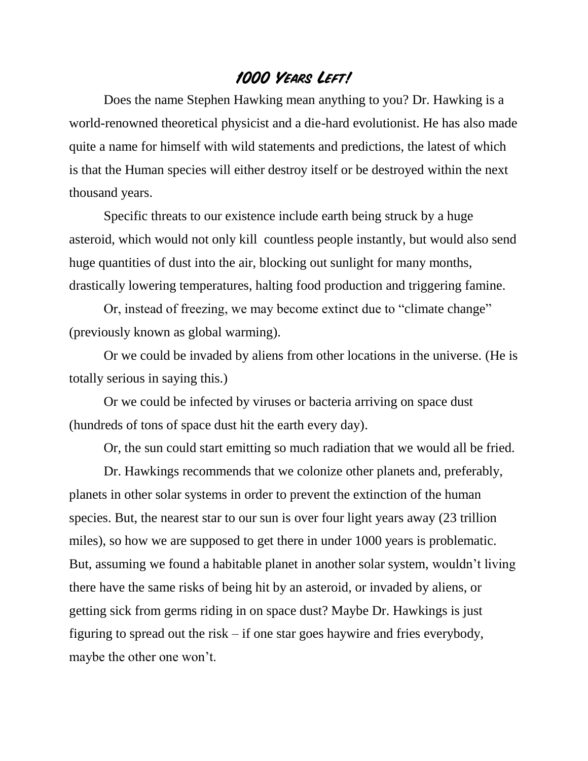## **1000 Years Left!**

Does the name Stephen Hawking mean anything to you? Dr. Hawking is a world-renowned theoretical physicist and a die-hard evolutionist. He has also made quite a name for himself with wild statements and predictions, the latest of which is that the Human species will either destroy itself or be destroyed within the next thousand years.

Specific threats to our existence include earth being struck by a huge asteroid, which would not only kill countless people instantly, but would also send huge quantities of dust into the air, blocking out sunlight for many months, drastically lowering temperatures, halting food production and triggering famine.

Or, instead of freezing, we may become extinct due to "climate change" (previously known as global warming).

Or we could be invaded by aliens from other locations in the universe. (He is totally serious in saying this.)

Or we could be infected by viruses or bacteria arriving on space dust (hundreds of tons of space dust hit the earth every day).

Or, the sun could start emitting so much radiation that we would all be fried.

Dr. Hawkings recommends that we colonize other planets and, preferably, planets in other solar systems in order to prevent the extinction of the human species. But, the nearest star to our sun is over four light years away (23 trillion miles), so how we are supposed to get there in under 1000 years is problematic. But, assuming we found a habitable planet in another solar system, wouldn't living there have the same risks of being hit by an asteroid, or invaded by aliens, or getting sick from germs riding in on space dust? Maybe Dr. Hawkings is just figuring to spread out the risk – if one star goes haywire and fries everybody, maybe the other one won't.